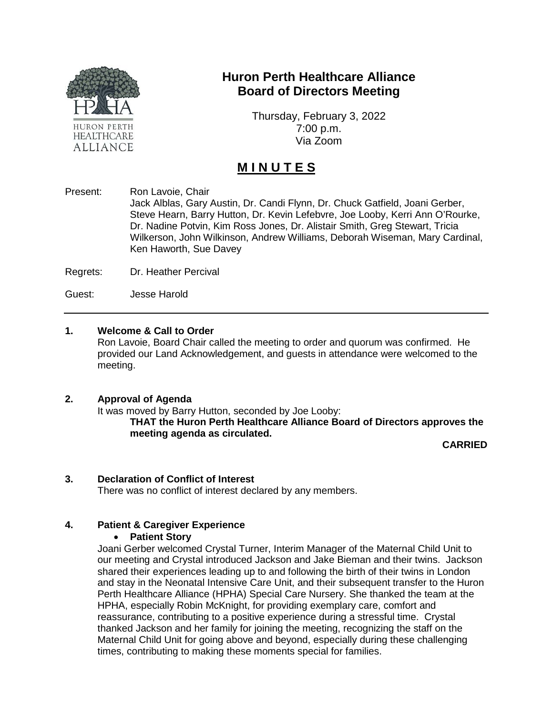

## **Huron Perth Healthcare Alliance Board of Directors Meeting**

Thursday, February 3, 2022 7:00 p.m. Via Zoom

# **M I N U T E S**

Present: Ron Lavoie, Chair Jack Alblas, Gary Austin, Dr. Candi Flynn, Dr. Chuck Gatfield, Joani Gerber, Steve Hearn, Barry Hutton, Dr. Kevin Lefebvre, Joe Looby, Kerri Ann O'Rourke, Dr. Nadine Potvin, Kim Ross Jones, Dr. Alistair Smith, Greg Stewart, Tricia Wilkerson, John Wilkinson, Andrew Williams, Deborah Wiseman, Mary Cardinal, Ken Haworth, Sue Davey

Regrets: Dr. Heather Percival

Guest: Jesse Harold

#### **1. Welcome & Call to Order**

Ron Lavoie, Board Chair called the meeting to order and quorum was confirmed. He provided our Land Acknowledgement, and guests in attendance were welcomed to the meeting.

#### **2. Approval of Agenda**

It was moved by Barry Hutton, seconded by Joe Looby: **THAT the Huron Perth Healthcare Alliance Board of Directors approves the meeting agenda as circulated.**

**CARRIED**

#### **3. Declaration of Conflict of Interest**

There was no conflict of interest declared by any members.

#### **4. Patient & Caregiver Experience**

#### • **Patient Story**

Joani Gerber welcomed Crystal Turner, Interim Manager of the Maternal Child Unit to our meeting and Crystal introduced Jackson and Jake Bieman and their twins. Jackson shared their experiences leading up to and following the birth of their twins in London and stay in the Neonatal Intensive Care Unit, and their subsequent transfer to the Huron Perth Healthcare Alliance (HPHA) Special Care Nursery. She thanked the team at the HPHA, especially Robin McKnight, for providing exemplary care, comfort and reassurance, contributing to a positive experience during a stressful time. Crystal thanked Jackson and her family for joining the meeting, recognizing the staff on the Maternal Child Unit for going above and beyond, especially during these challenging times, contributing to making these moments special for families.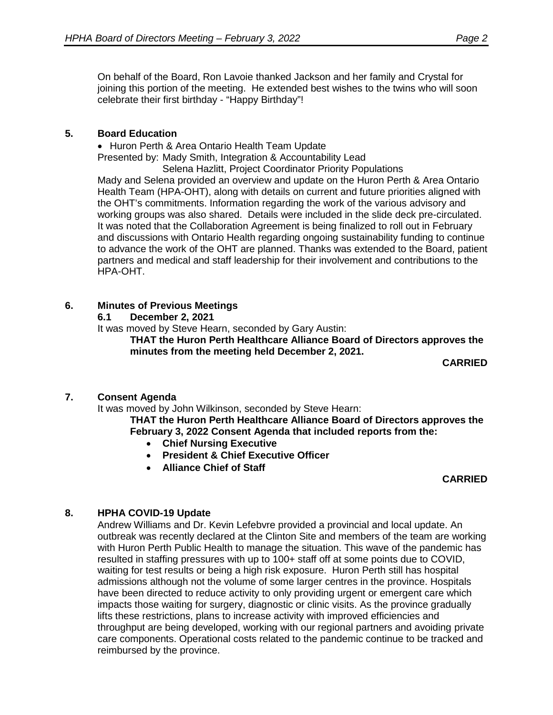On behalf of the Board, Ron Lavoie thanked Jackson and her family and Crystal for joining this portion of the meeting. He extended best wishes to the twins who will soon celebrate their first birthday - "Happy Birthday"!

#### **5. Board Education**

• Huron Perth & Area Ontario Health Team Update

Presented by: Mady Smith, Integration & Accountability Lead

Selena Hazlitt, Project Coordinator Priority Populations Mady and Selena provided an overview and update on the Huron Perth & Area Ontario Health Team (HPA-OHT), along with details on current and future priorities aligned with the OHT's commitments. Information regarding the work of the various advisory and working groups was also shared. Details were included in the slide deck pre-circulated. It was noted that the Collaboration Agreement is being finalized to roll out in February and discussions with Ontario Health regarding ongoing sustainability funding to continue to advance the work of the OHT are planned. Thanks was extended to the Board, patient partners and medical and staff leadership for their involvement and contributions to the HPA-OHT.

#### **6. Minutes of Previous Meetings**

**6.1 December 2, 2021**

It was moved by Steve Hearn, seconded by Gary Austin:

**THAT the Huron Perth Healthcare Alliance Board of Directors approves the minutes from the meeting held December 2, 2021.**

**CARRIED**

## **7. Consent Agenda**

It was moved by John Wilkinson, seconded by Steve Hearn:

**THAT the Huron Perth Healthcare Alliance Board of Directors approves the February 3, 2022 Consent Agenda that included reports from the:**

- **Chief Nursing Executive**
- **President & Chief Executive Officer**
- **Alliance Chief of Staff**

#### **CARRIED**

## **8. HPHA COVID-19 Update**

Andrew Williams and Dr. Kevin Lefebvre provided a provincial and local update. An outbreak was recently declared at the Clinton Site and members of the team are working with Huron Perth Public Health to manage the situation. This wave of the pandemic has resulted in staffing pressures with up to 100+ staff off at some points due to COVID, waiting for test results or being a high risk exposure. Huron Perth still has hospital admissions although not the volume of some larger centres in the province. Hospitals have been directed to reduce activity to only providing urgent or emergent care which impacts those waiting for surgery, diagnostic or clinic visits. As the province gradually lifts these restrictions, plans to increase activity with improved efficiencies and throughput are being developed, working with our regional partners and avoiding private care components. Operational costs related to the pandemic continue to be tracked and reimbursed by the province.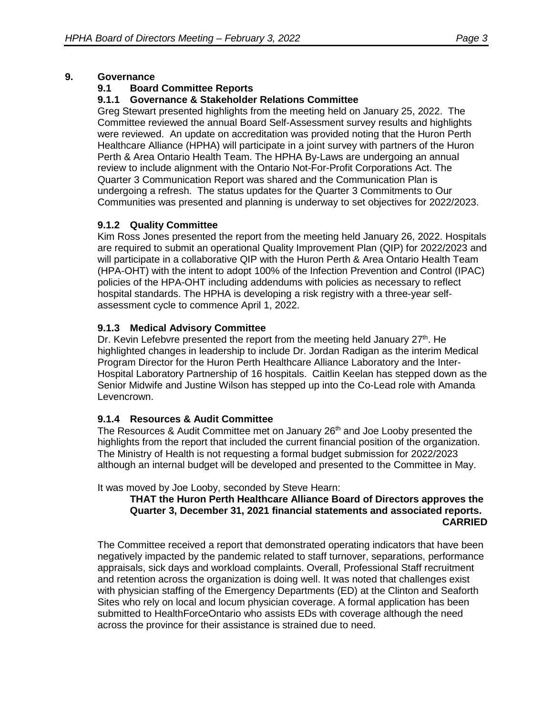#### **9. Governance**

#### **9.1 Board Committee Reports**

## **9.1.1 Governance & Stakeholder Relations Committee**

Greg Stewart presented highlights from the meeting held on January 25, 2022. The Committee reviewed the annual Board Self-Assessment survey results and highlights were reviewed. An update on accreditation was provided noting that the Huron Perth Healthcare Alliance (HPHA) will participate in a joint survey with partners of the Huron Perth & Area Ontario Health Team. The HPHA By-Laws are undergoing an annual review to include alignment with the Ontario Not-For-Profit Corporations Act. The Quarter 3 Communication Report was shared and the Communication Plan is undergoing a refresh. The status updates for the Quarter 3 Commitments to Our Communities was presented and planning is underway to set objectives for 2022/2023.

## **9.1.2 Quality Committee**

Kim Ross Jones presented the report from the meeting held January 26, 2022. Hospitals are required to submit an operational Quality Improvement Plan (QIP) for 2022/2023 and will participate in a collaborative QIP with the Huron Perth & Area Ontario Health Team (HPA-OHT) with the intent to adopt 100% of the Infection Prevention and Control (IPAC) policies of the HPA-OHT including addendums with policies as necessary to reflect hospital standards. The HPHA is developing a risk registry with a three-year selfassessment cycle to commence April 1, 2022.

## **9.1.3 Medical Advisory Committee**

Dr. Kevin Lefebvre presented the report from the meeting held January  $27<sup>th</sup>$ . He highlighted changes in leadership to include Dr. Jordan Radigan as the interim Medical Program Director for the Huron Perth Healthcare Alliance Laboratory and the Inter-Hospital Laboratory Partnership of 16 hospitals. Caitlin Keelan has stepped down as the Senior Midwife and Justine Wilson has stepped up into the Co-Lead role with Amanda Levencrown.

## **9.1.4 Resources & Audit Committee**

The Resources & Audit Committee met on January  $26<sup>th</sup>$  and Joe Looby presented the highlights from the report that included the current financial position of the organization. The Ministry of Health is not requesting a formal budget submission for 2022/2023 although an internal budget will be developed and presented to the Committee in May.

It was moved by Joe Looby, seconded by Steve Hearn:

#### **THAT the Huron Perth Healthcare Alliance Board of Directors approves the Quarter 3, December 31, 2021 financial statements and associated reports. CARRIED**

The Committee received a report that demonstrated operating indicators that have been negatively impacted by the pandemic related to staff turnover, separations, performance appraisals, sick days and workload complaints. Overall, Professional Staff recruitment and retention across the organization is doing well. It was noted that challenges exist with physician staffing of the Emergency Departments (ED) at the Clinton and Seaforth Sites who rely on local and locum physician coverage. A formal application has been submitted to HealthForceOntario who assists EDs with coverage although the need across the province for their assistance is strained due to need.